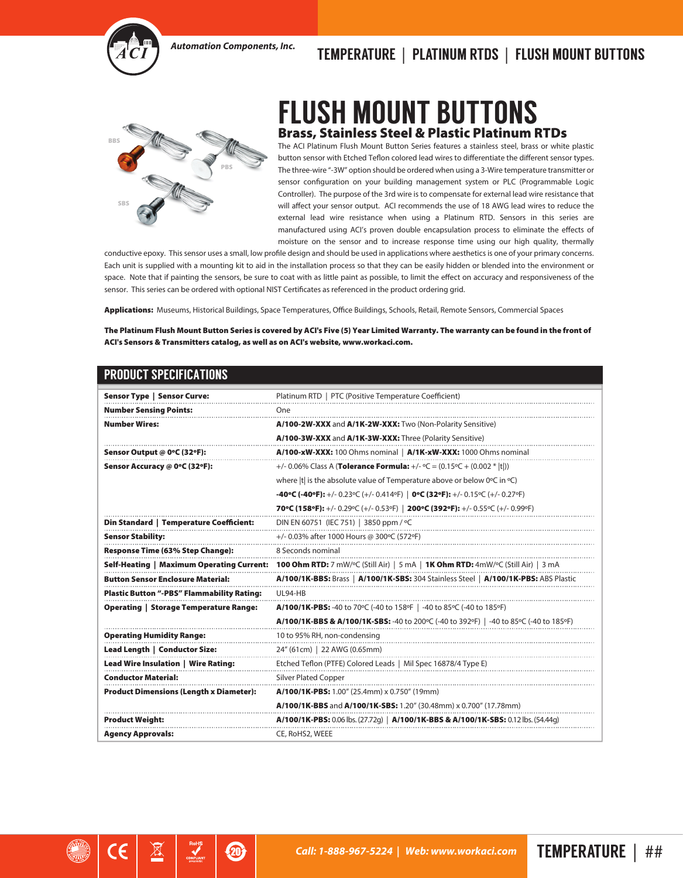

## *Automation Components, Inc.* TEMPERATURE | PLATINUM RTDS | FLUSH MOUNT BUTTONS



## FLUSH MOUNT BUTTONS Brass, Stainless Steel & Plastic Platinum RTDs

The ACI Platinum Flush Mount Button Series features a stainless steel, brass or white plastic button sensor with Etched Teflon colored lead wires to differentiate the different sensor types. The three-wire "-3W" option should be ordered when using a 3-Wire temperature transmitter or sensor configuration on your building management system or PLC (Programmable Logic Controller). The purpose of the 3rd wire is to compensate for external lead wire resistance that will affect your sensor output. ACI recommends the use of 18 AWG lead wires to reduce the external lead wire resistance when using a Platinum RTD. Sensors in this series are manufactured using ACI's proven double encapsulation process to eliminate the effects of moisture on the sensor and to increase response time using our high quality, thermally

conductive epoxy. This sensor uses a small, low profile design and should be used in applications where aesthetics is one of your primary concerns. Each unit is supplied with a mounting kit to aid in the installation process so that they can be easily hidden or blended into the environment or space. Note that if painting the sensors, be sure to coat with as little paint as possible, to limit the effect on accuracy and responsiveness of the sensor. This series can be ordered with optional NIST Certificates as referenced in the product ordering grid.

Applications: Museums, Historical Buildings, Space Temperatures, Office Buildings, Schools, Retail, Remote Sensors, Commercial Spaces

The Platinum Flush Mount Button Series is covered by ACI's Five (5) Year Limited Warranty. The warranty can be found in the front of ACI's Sensors & Transmitters catalog, as well as on ACI's website, www.workaci.com.

## PRODUCT SPECIFICATIONS

⊠

 $\mathbf{Z}$ 

| <b>Sensor Type   Sensor Curve:</b>                | Platinum RTD   PTC (Positive Temperature Coefficient)                                                             |
|---------------------------------------------------|-------------------------------------------------------------------------------------------------------------------|
| <b>Number Sensing Points:</b>                     | One                                                                                                               |
| <b>Number Wires:</b>                              | A/100-2W-XXX and A/1K-2W-XXX: Two (Non-Polarity Sensitive)                                                        |
|                                                   | A/100-3W-XXX and A/1K-3W-XXX: Three (Polarity Sensitive)                                                          |
| Sensor Output @ 0°C (32°F):                       | A/100-xW-XXX: 100 Ohms nominal   A/1K-xW-XXX: 1000 Ohms nominal                                                   |
| Sensor Accuracy @ 0°C (32°F):                     | +/- 0.06% Class A ( <b>Tolerance Formula:</b> +/- $\degree$ C = (0.15 $\degree$ C + (0.002 *  t ))                |
|                                                   | where  t  is the absolute value of Temperature above or below 0°C in °C)                                          |
|                                                   | -40°C (-40°F): +/- 0.23°C (+/- 0.414°F)   0°C (32°F): +/- 0.15°C (+/- 0.27°F)                                     |
|                                                   | 70°C (158°F): +/- 0.29°C (+/- 0.53°F)   200°C (392°F): +/- 0.55°C (+/- 0.99°F)                                    |
| Din Standard   Temperature Coefficient:           | DIN EN 60751 (IEC 751)   3850 ppm / °C                                                                            |
| <b>Sensor Stability:</b>                          | +/- 0.03% after 1000 Hours @ 300°C (572°F)                                                                        |
| Response Time (63% Step Change):                  | 8 Seconds nominal                                                                                                 |
| Self-Heating   Maximum Operating Current:         | <b>100 Ohm RTD:</b> 7 mW/ $\degree$ C (Still Air)   5 mA   <b>1K Ohm RTD:</b> 4mW/ $\degree$ C (Still Air)   3 mA |
| <b>Button Sensor Enclosure Material:</b>          | A/100/1K-BBS: Brass   A/100/1K-SBS: 304 Stainless Steel   A/100/1K-PBS: ABS Plastic                               |
| <b>Plastic Button "-PBS" Flammability Rating:</b> | UL94-HB                                                                                                           |
| <b>Operating   Storage Temperature Range:</b>     | A/100/1K-PBS: -40 to 70°C (-40 to 158°F   -40 to 85°C (-40 to 185°F)                                              |
|                                                   | <b>A/100/1K-BBS &amp; A/100/1K-SBS:</b> -40 to 200°C (-40 to 392°F)   -40 to 85°C (-40 to 185°F)                  |
| <b>Operating Humidity Range:</b>                  | 10 to 95% RH, non-condensing                                                                                      |
| Lead Length   Conductor Size:                     | 24" (61cm)   22 AWG (0.65mm)                                                                                      |
| Lead Wire Insulation   Wire Rating:               | Etched Teflon (PTFE) Colored Leads   Mil Spec 16878/4 Type E)                                                     |
| <b>Conductor Material:</b>                        | <b>Silver Plated Copper</b>                                                                                       |
| <b>Product Dimensions (Length x Diameter):</b>    | A/100/1K-PBS: 1.00" (25.4mm) x 0.750" (19mm)                                                                      |
|                                                   | A/100/1K-BBS and A/100/1K-SBS: 1.20" (30.48mm) x 0.700" (17.78mm)                                                 |
| <b>Product Weight:</b>                            | <b>A/100/1K-PBS:</b> 0.06 lbs. (27.72g)   <b>A/100/1K-BBS &amp; A/100/1K-SBS:</b> 0.12 lbs. (54.44g)              |
| <b>Agency Approvals:</b>                          | CE, RoHS2, WEEE                                                                                                   |